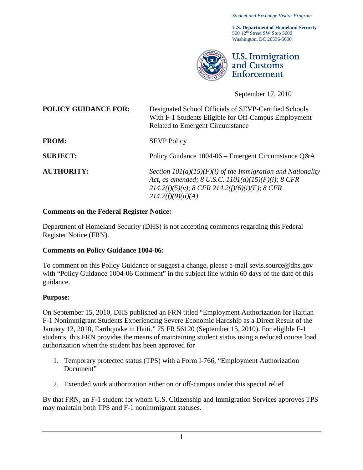*Student and Exchange Visitor Program*

**U.S. Department of Homeland Security**  $500 12<sup>th</sup>$  Street SW Stop 5600 Washington, DC 20536-5600



September 17, 2010

I

**POLICY GUIDANCE FOR:** Designated School Officials of SEVP-Certified Schools With F-1 Students Eligible for Off-Campus Employment Related to Emergent Circumstance FROM: SEVP Policy

**SUBJECT:** Policy Guidance 1004-06 – Emergent Circumstance Q&A

**AUTHORITY:** *Section 101(a)(15)(F)(i) of the Immigration and Nationality Act, as amended; 8 U.S.C. 1101(a)(15)(F)(i); 8 CFR 214.2(f)(5)(v)*; *8 CFR 214.2(f)(6)(i)(F)*; *8 CFR 214.2(f)(9)(ii)(A)*

# **Comments on the Federal Register Notice:**

Department of Homeland Security (DHS) is not accepting comments regarding this Federal Register Notice (FRN).

# **Comments on Policy Guidance 1004-06:**

To comment on this Policy Guidance or suggest a change, please e-mail [sevis.source@dhs.gov](mailto:SEVIS.source@dhs.gov) with "Policy Guidance 1004-06 Comment" in the subject line within 60 days of the date of this guidance.

# **Purpose:**

On September 15, 2010, DHS published an FRN titled "Employment Authorization for Haitian F-1 Nonimmigrant Students Experiencing Severe Economic Hardship as a Direct Result of the January 12, 2010, Earthquake in Haiti." 75 FR 56120 (September 15, 2010). For eligible F-1 students, this FRN provides the means of maintaining student status using a reduced course load authorization when the student has been approved for

- 1. Temporary protected status (TPS) with a Form I-766, "Employment Authorization Document"
- 2. Extended work authorization either on or off-campus under this special relief

By that FRN, an F-1 student for whom U.S. Citizenship and Immigration Services approves TPS may maintain both TPS and F-1 nonimmigrant statuses.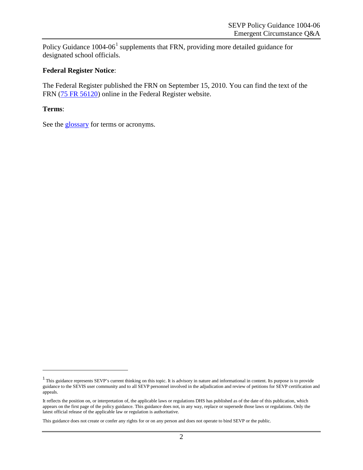Policy Guidance  $1004-06<sup>1</sup>$  $1004-06<sup>1</sup>$  supplements that FRN, providing more detailed guidance for designated school officials.

#### **Federal Register Notice**:

The Federal Register published the FRN on September 15, 2010. You can find the text of the FRN [\(75 FR 56120\)](http://www.gpo.gov/fdsys/pkg/FR-2010-09-15/pdf/2010-22929.pdf) online in the Federal Register website.

#### **Terms**:

 $\overline{a}$ 

See the **glossary** for terms or acronyms.

<span id="page-1-0"></span><sup>&</sup>lt;sup>1</sup> This guidance represents SEVP's current thinking on this topic. It is advisory in nature and informational in content. Its purpose is to provide guidance to the SEVIS user community and to all SEVP personnel involved in the adjudication and review of petitions for SEVP certification and appeals.

It reflects the position on, or interpretation of, the applicable laws or regulations DHS has published as of the date of this publication, which appears on the first page of the policy guidance. This guidance does not, in any way, replace or supersede those laws or regulations. Only the latest official release of the applicable law or regulation is authoritative.

This guidance does not create or confer any rights for or on any person and does not operate to bind SEVP or the public.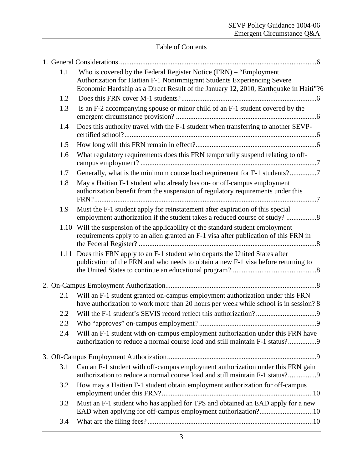# Table of Contents

| 1.1  | Who is covered by the Federal Register Notice (FRN) - "Employment<br>Authorization for Haitian F-1 Nonimmigrant Students Experiencing Severe<br>Economic Hardship as a Direct Result of the January 12, 2010, Earthquake in Haiti"?6 |
|------|--------------------------------------------------------------------------------------------------------------------------------------------------------------------------------------------------------------------------------------|
| 1.2  |                                                                                                                                                                                                                                      |
| 1.3  | Is an F-2 accompanying spouse or minor child of an F-1 student covered by the                                                                                                                                                        |
| 1.4  | Does this authority travel with the F-1 student when transferring to another SEVP-                                                                                                                                                   |
| 1.5  |                                                                                                                                                                                                                                      |
| 1.6  | What regulatory requirements does this FRN temporarily suspend relating to off-                                                                                                                                                      |
| 1.7  | Generally, what is the minimum course load requirement for F-1 students?7                                                                                                                                                            |
| 1.8  | May a Haitian F-1 student who already has on- or off-campus employment<br>authorization benefit from the suspension of regulatory requirements under this                                                                            |
| 1.9  | Must the F-1 student apply for reinstatement after expiration of this special<br>employment authorization if the student takes a reduced course of study? 8                                                                          |
|      | 1.10 Will the suspension of the applicability of the standard student employment<br>requirements apply to an alien granted an F-1 visa after publication of this FRN in                                                              |
| 1.11 | Does this FRN apply to an F-1 student who departs the United States after<br>publication of the FRN and who needs to obtain a new F-1 visa before returning to                                                                       |
|      |                                                                                                                                                                                                                                      |
| 2.1  | Will an F-1 student granted on-campus employment authorization under this FRN<br>have authorization to work more than 20 hours per week while school is in session? 8                                                                |
| 2.2  |                                                                                                                                                                                                                                      |
| 2.3  |                                                                                                                                                                                                                                      |
| 2.4  | Will an F-1 student with on-campus employment authorization under this FRN have<br>authorization to reduce a normal course load and still maintain F-1 status?9                                                                      |
|      |                                                                                                                                                                                                                                      |
| 3.1  | Can an F-1 student with off-campus employment authorization under this FRN gain<br>authorization to reduce a normal course load and still maintain F-1 status?9                                                                      |
| 3.2  | How may a Haitian F-1 student obtain employment authorization for off-campus                                                                                                                                                         |
| 3.3  | Must an F-1 student who has applied for TPS and obtained an EAD apply for a new                                                                                                                                                      |
| 3.4  |                                                                                                                                                                                                                                      |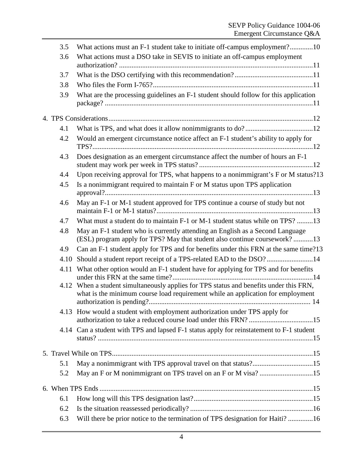| 3.5  | What actions must an F-1 student take to initiate off-campus employment?10                                                                                           |  |
|------|----------------------------------------------------------------------------------------------------------------------------------------------------------------------|--|
| 3.6  | What actions must a DSO take in SEVIS to initiate an off-campus employment                                                                                           |  |
|      |                                                                                                                                                                      |  |
| 3.7  |                                                                                                                                                                      |  |
| 3.8  |                                                                                                                                                                      |  |
| 3.9  | What are the processing guidelines an F-1 student should follow for this application                                                                                 |  |
|      |                                                                                                                                                                      |  |
| 4.1  |                                                                                                                                                                      |  |
| 4.2  | Would an emergent circumstance notice affect an F-1 student's ability to apply for                                                                                   |  |
| 4.3  | Does designation as an emergent circumstance affect the number of hours an F-1                                                                                       |  |
| 4.4  | Upon receiving approval for TPS, what happens to a nonimmigrant's F or M status?13                                                                                   |  |
| 4.5  | Is a nonimmigrant required to maintain F or M status upon TPS application                                                                                            |  |
| 4.6  | May an F-1 or M-1 student approved for TPS continue a course of study but not                                                                                        |  |
| 4.7  | What must a student do to maintain F-1 or M-1 student status while on TPS? 13                                                                                        |  |
| 4.8  | May an F-1 student who is currently attending an English as a Second Language<br>(ESL) program apply for TPS? May that student also continue coursework?13           |  |
| 4.9  | Can an F-1 student apply for TPS and for benefits under this FRN at the same time?13                                                                                 |  |
| 4.10 | Should a student report receipt of a TPS-related EAD to the DSO?14                                                                                                   |  |
| 4.11 | What other option would an F-1 student have for applying for TPS and for benefits                                                                                    |  |
| 4.12 | When a student simultaneously applies for TPS status and benefits under this FRN,<br>what is the minimum course load requirement while an application for employment |  |
|      | 4.13 How would a student with employment authorization under TPS apply for                                                                                           |  |
|      | 4.14 Can a student with TPS and lapsed F-1 status apply for reinstatement to F-1 student                                                                             |  |
|      |                                                                                                                                                                      |  |
| 5.1  |                                                                                                                                                                      |  |
| 5.2  | May an F or M nonimmigrant on TPS travel on an F or M visa? 15                                                                                                       |  |
|      |                                                                                                                                                                      |  |
| 6.1  |                                                                                                                                                                      |  |
| 6.2  |                                                                                                                                                                      |  |
| 6.3  | Will there be prior notice to the termination of TPS designation for Haiti? 16                                                                                       |  |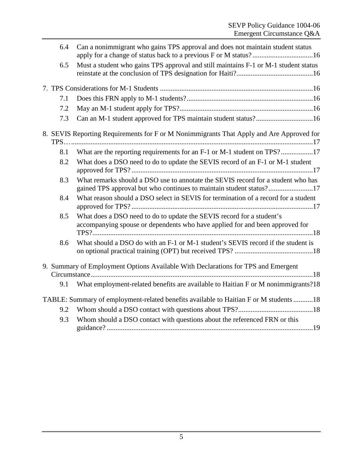| Can a nonimmigrant who gains TPS approval and does not maintain student status<br>6.4 |                                                                                                                                                         |  |  |  |  |
|---------------------------------------------------------------------------------------|---------------------------------------------------------------------------------------------------------------------------------------------------------|--|--|--|--|
| 6.5                                                                                   | Must a student who gains TPS approval and still maintains F-1 or M-1 student status                                                                     |  |  |  |  |
|                                                                                       |                                                                                                                                                         |  |  |  |  |
| 7.1                                                                                   |                                                                                                                                                         |  |  |  |  |
| 7.2                                                                                   |                                                                                                                                                         |  |  |  |  |
| 7.3                                                                                   | Can an M-1 student approved for TPS maintain student status?16                                                                                          |  |  |  |  |
|                                                                                       | 8. SEVIS Reporting Requirements for F or M Nonimmigrants That Apply and Are Approved for                                                                |  |  |  |  |
| 8.1                                                                                   | What are the reporting requirements for an F-1 or M-1 student on TPS?17                                                                                 |  |  |  |  |
| 8.2                                                                                   | What does a DSO need to do to update the SEVIS record of an F-1 or M-1 student                                                                          |  |  |  |  |
| 8.3                                                                                   | What remarks should a DSO use to annotate the SEVIS record for a student who has<br>gained TPS approval but who continues to maintain student status?17 |  |  |  |  |
| 8.4                                                                                   | What reason should a DSO select in SEVIS for termination of a record for a student                                                                      |  |  |  |  |
| 8.5                                                                                   | What does a DSO need to do to update the SEVIS record for a student's<br>accompanying spouse or dependents who have applied for and been approved for   |  |  |  |  |
| 8.6                                                                                   | What should a DSO do with an F-1 or M-1 student's SEVIS record if the student is                                                                        |  |  |  |  |
|                                                                                       | 9. Summary of Employment Options Available With Declarations for TPS and Emergent                                                                       |  |  |  |  |
| 9.1                                                                                   | What employment-related benefits are available to Haitian F or M nonimmigrants?18                                                                       |  |  |  |  |
|                                                                                       | TABLE: Summary of employment-related benefits available to Haitian F or M students 18                                                                   |  |  |  |  |
| 9.2                                                                                   |                                                                                                                                                         |  |  |  |  |
| 9.3                                                                                   | Whom should a DSO contact with questions about the referenced FRN or this                                                                               |  |  |  |  |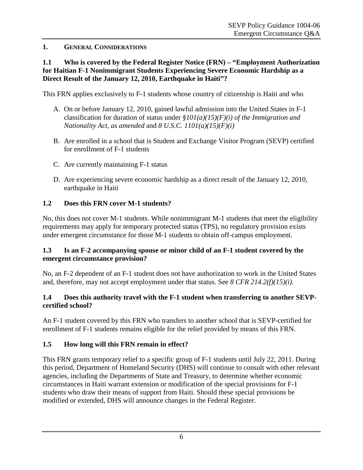## <span id="page-5-0"></span>**1. GENERAL CONSIDERATIONS**

## <span id="page-5-1"></span>**1.1 Who is covered by the Federal Register Notice (FRN) – "Employment Authorization for Haitian F-1 Nonimmigrant Students Experiencing Severe Economic Hardship as a Direct Result of the January 12, 2010, Earthquake in Haiti"?**

This FRN applies exclusively to F-1 students whose country of citizenship is Haiti and who

- A. On or before January 12, 2010, gained lawful admission into the United States in F-1 classification for duration of status under *§101(a)(15)(F)(i) of the Immigration and Nationality Act*, *as amended* and *8 U.S.C. 1101(a)(15)(F)(i)*
- B. Are enrolled in a school that is Student and Exchange Visitor Program (SEVP) certified for enrollment of F-1 students
- C. Are currently maintaining F-1 status
- D. Are experiencing severe economic hardship as a direct result of the January 12, 2010, earthquake in Haiti

## <span id="page-5-2"></span>**1.2 Does this FRN cover M-1 students?**

No, this does not cover M-1 students. While nonimmigrant M-1 students that meet the eligibility requirements may apply for temporary protected status (TPS), no regulatory provision exists under emergent circumstance for those M-1 students to obtain off-campus employment.

#### <span id="page-5-3"></span>**1.3 Is an F-2 accompanying spouse or minor child of an F-1 student covered by the emergent circumstance provision?**

No, an F-2 dependent of an F-1 student does not have authorization to work in the United States and, therefore, may not accept employment under that status. See *8 CFR 214.2(f)(15)(i)*.

## <span id="page-5-4"></span>**1.4 Does this authority travel with the F-1 student when transferring to another SEVPcertified school?**

An F-1 student covered by this FRN who transfers to another school that is SEVP-certified for enrollment of F-1 students remains eligible for the relief provided by means of this FRN.

# <span id="page-5-5"></span>**1.5 How long will this FRN remain in effect?**

This FRN grants temporary relief to a specific group of F-1 students until July 22, 2011. During this period, Department of Homeland Security (DHS) will continue to consult with other relevant agencies, including the Departments of State and Treasury, to determine whether economic circumstances in Haiti warrant extension or modification of the special provisions for F-1 students who draw their means of support from Haiti. Should these special provisions be modified or extended, DHS will announce changes in the Federal Register.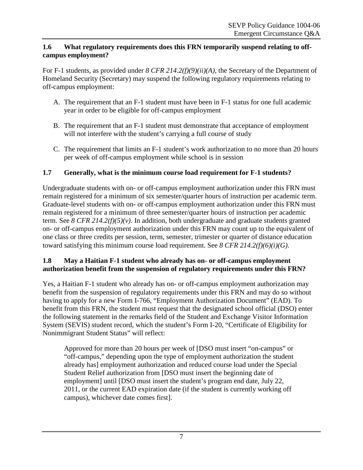## <span id="page-6-0"></span>**1.6 What regulatory requirements does this FRN temporarily suspend relating to offcampus employment?**

For F-1 students, as provided under *8 CFR 214.2(f)(9)(ii)(A)*, the Secretary of the Department of Homeland Security (Secretary) may suspend the following regulatory requirements relating to off-campus employment:

- A. The requirement that an F-1 student must have been in F-1 status for one full academic year in order to be eligible for off-campus employment
- B. The requirement that an F-1 student must demonstrate that acceptance of employment will not interfere with the student's carrying a full course of study
- C. The requirement that limits an F-1 student's work authorization to no more than 20 hours per week of off-campus employment while school is in session

# <span id="page-6-1"></span>**1.7 Generally, what is the minimum course load requirement for F-1 students?**

Undergraduate students with on- or off-campus employment authorization under this FRN must remain registered for a minimum of six semester/quarter hours of instruction per academic term. Graduate-level students with on- or off-campus employment authorization under this FRN must remain registered for a minimum of three semester/quarter hours of instruction per academic term. See *8 CFR 214.2(f)(5)(v)*. In addition, both undergraduate and graduate students granted on- or off-campus employment authorization under this FRN may count up to the equivalent of one class or three credits per session, term, semester, trimester or quarter of distance education toward satisfying this minimum course load requirement. See *8 CFR 214.2(f)(6)(i)(G)*.

## <span id="page-6-2"></span>**1.8 May a Haitian F-1 student who already has on- or off-campus employment authorization benefit from the suspension of regulatory requirements under this FRN?**

Yes, a Haitian F-1 student who already has on- or off-campus employment authorization may benefit from the suspension of regulatory requirements under this FRN and may do so without having to apply for a new Form I-766, "Employment Authorization Document" (EAD). To benefit from this FRN, the student must request that the designated school official (DSO) enter the following statement in the remarks field of the Student and Exchange Visitor Information System (SEVIS) student record, which the student's Form I-20, "Certificate of Eligibility for Nonimmigrant Student Status" will reflect:

Approved for more than 20 hours per week of [DSO must insert "on-campus" or "off-campus," depending upon the type of employment authorization the student already has] employment authorization and reduced course load under the Special Student Relief authorization from [DSO must insert the beginning date of employment] until [DSO must insert the student's program end date, July 22, 2011, or the current EAD expiration date (if the student is currently working off campus), whichever date comes first].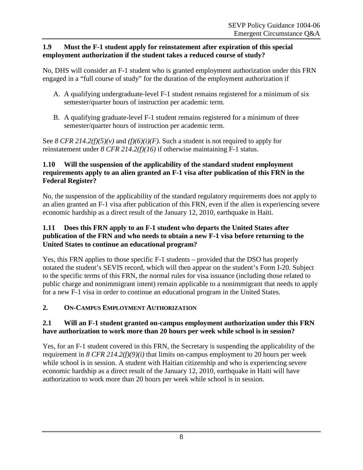### <span id="page-7-0"></span>**1.9 Must the F-1 student apply for reinstatement after expiration of this special employment authorization if the student takes a reduced course of study?**

No, DHS will consider an F-1 student who is granted employment authorization under this FRN engaged in a "full course of study" for the duration of the employment authorization if

- A. A qualifying undergraduate-level F-1 student remains registered for a minimum of six semester/quarter hours of instruction per academic term.
- B. A qualifying graduate-level F-1 student remains registered for a minimum of three semester/quarter hours of instruction per academic term.

See *8 CFR 214.2(f)(5)(v)* and  $(f)(6)(i)(F)$ . Such a student is not required to apply for reinstatement under *8 CFR 214.2(f)(16)* if otherwise maintaining F-1 status.

# <span id="page-7-1"></span>**1.10 Will the suspension of the applicability of the standard student employment requirements apply to an alien granted an F-1 visa after publication of this FRN in the Federal Register?**

No, the suspension of the applicability of the standard regulatory requirements does not apply to an alien granted an F-1 visa after publication of this FRN, even if the alien is experiencing severe economic hardship as a direct result of the January 12, 2010, earthquake in Haiti.

## <span id="page-7-2"></span>**1.11 Does this FRN apply to an F-1 student who departs the United States after publication of the FRN and who needs to obtain a new F-1 visa before returning to the United States to continue an educational program?**

Yes, this FRN applies to those specific F-1 students – provided that the DSO has properly notated the student's SEVIS record, which will then appear on the student's Form I-20. Subject to the specific terms of this FRN, the normal rules for visa issuance (including those related to public charge and nonimmigrant intent) remain applicable to a nonimmigrant that needs to apply for a new F-1 visa in order to continue an educational program in the United States.

# <span id="page-7-3"></span>**2. ON-CAMPUS EMPLOYMENT AUTHORIZATION**

# <span id="page-7-4"></span>**2.1 Will an F-1 student granted on-campus employment authorization under this FRN have authorization to work more than 20 hours per week while school is in session?**

Yes, for an F-1 student covered in this FRN, the Secretary is suspending the applicability of the requirement in *8 CFR 214.2(f)(9)(i)* that limits on-campus employment to 20 hours per week while school is in session. A student with Haitian citizenship and who is experiencing severe economic hardship as a direct result of the January 12, 2010, earthquake in Haiti will have authorization to work more than 20 hours per week while school is in session.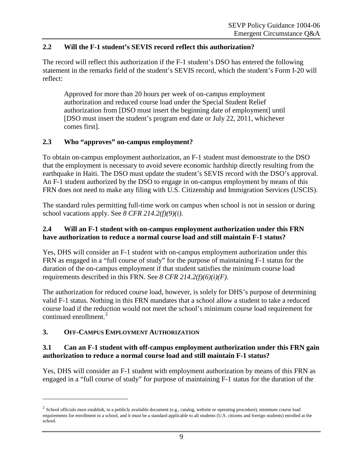## <span id="page-8-0"></span>**2.2 Will the F-1 student's SEVIS record reflect this authorization?**

The record will reflect this authorization if the F-1 student's DSO has entered the following statement in the remarks field of the student's SEVIS record, which the student's Form I-20 will reflect:

Approved for more than 20 hours per week of on-campus employment authorization and reduced course load under the Special Student Relief authorization from [DSO must insert the beginning date of employment] until [DSO must insert the student's program end date or July 22, 2011, whichever comes first].

# <span id="page-8-1"></span>**2.3 Who "approves" on-campus employment?**

To obtain on-campus employment authorization, an F-1 student must demonstrate to the DSO that the employment is necessary to avoid severe economic hardship directly resulting from the earthquake in Haiti. The DSO must update the student's SEVIS record with the DSO's approval. An F-1 student authorized by the DSO to engage in on-campus employment by means of this FRN does not need to make any filing with U.S. Citizenship and Immigration Services (USCIS).

The standard rules permitting full-time work on campus when school is not in session or during school vacations apply. See *8 CFR 214.2(f)(9)(i)*.

#### <span id="page-8-2"></span>**2.4 Will an F-1 student with on-campus employment authorization under this FRN have authorization to reduce a normal course load and still maintain F-1 status?**

Yes, DHS will consider an F-1 student with on-campus employment authorization under this FRN as engaged in a "full course of study" for the purpose of maintaining F-1 status for the duration of the on-campus employment if that student satisfies the minimum course load requirements described in this FRN. See *8 CFR 214.2(f)(6)(i)(F)*.

The authorization for reduced course load, however, is solely for DHS's purpose of determining valid F-1 status. Nothing in this FRN mandates that a school allow a student to take a reduced course load if the reduction would not meet the school's minimum course load requirement for continued enrollment.<sup>[2](#page-8-5)</sup>

# <span id="page-8-3"></span>**3. OFF-CAMPUS EMPLOYMENT AUTHORIZATION**

 $\overline{a}$ 

#### <span id="page-8-4"></span>**3.1 Can an F-1 student with off-campus employment authorization under this FRN gain authorization to reduce a normal course load and still maintain F-1 status?**

Yes, DHS will consider an F-1 student with employment authorization by means of this FRN as engaged in a "full course of study" for purpose of maintaining F-1 status for the duration of the

<span id="page-8-5"></span> $2$  School officials must establish, in a publicly available document (e.g., catalog, website or operating procedure), minimum course load requirements for enrollment in a school, and it must be a standard applicable to all students (U.S. citizens and foreign students) enrolled at the school.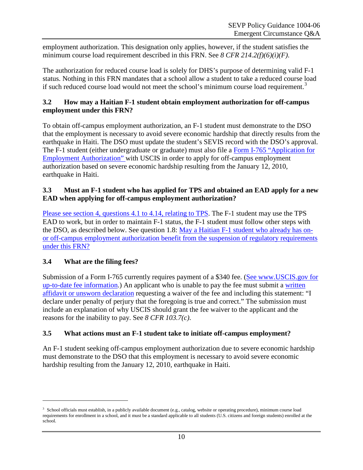employment authorization. This designation only applies, however, if the student satisfies the minimum course load requirement described in this FRN. See *8 CFR 214.2(f)(6)(i)(F)*.

The authorization for reduced course load is solely for DHS's purpose of determining valid F-1 status. Nothing in this FRN mandates that a school allow a student to take a reduced course load if such reduced course load would not meet the school's minimum course load requirement.<sup>[3](#page-9-4)</sup>

## <span id="page-9-0"></span>**3.2 How may a Haitian F-1 student obtain employment authorization for off-campus employment under this FRN?**

To obtain off-campus employment authorization, an F-1 student must demonstrate to the DSO that the employment is necessary to avoid severe economic hardship that directly results from the earthquake in Haiti. The DSO must update the student's SEVIS record with the DSO's approval. The F-1 student (either undergraduate or graduate) must also file a [Form I-765 "Application for](http://www.uscis.gov/i-765)  [Employment Authorization" w](http://www.uscis.gov/i-765)ith USCIS in order to apply for off-campus employment authorization based on severe economic hardship resulting from the January 12, 2010, earthquake in Haiti.

## <span id="page-9-1"></span>**3.3 Must an F-1 student who has applied for TPS and obtained an EAD apply for a new EAD when applying for off-campus employment authorization?**

[Please see section 4, questions 4.1 to 4.14, relating to TPS.](#page-11-0) The F-1 student may use the TPS EAD to work, but in order to maintain F-1 status, the F-1 student must follow other steps with the DSO, as described below. See question 1.8: [May a Haitian F-1 student who already has on](#page-6-2)[or off-campus employment authorization benefit from the suspension of regulatory requirements](#page-6-2)  [under this FRN?](#page-6-2)

# <span id="page-9-2"></span>**3.4 What are the filing fees?**

 $\overline{a}$ 

Submission of a Form I-765 currently requires payment of a \$340 fee. [\(See www.USCIS.gov for](http://www.uscis.gov/portal/site/uscis)  [up-to-date fee information.](http://www.uscis.gov/portal/site/uscis)) An applicant who is unable to pay the fee must submit a [written](http://www.uscis.gov/feewaiver)  [affidavit or unsworn declaration](http://www.uscis.gov/feewaiver) requesting a waiver of the fee and including this statement: "I declare under penalty of perjury that the foregoing is true and correct." The submission must include an explanation of why USCIS should grant the fee waiver to the applicant and the reasons for the inability to pay. See *8 CFR 103.7(c)*.

# <span id="page-9-3"></span>**3.5 What actions must an F-1 student take to initiate off-campus employment?**

An F-1 student seeking off-campus employment authorization due to severe economic hardship must demonstrate to the DSO that this employment is necessary to avoid severe economic hardship resulting from the January 12, 2010, earthquake in Haiti.

<span id="page-9-4"></span> $3$  School officials must establish, in a publicly available document (e.g., catalog, website or operating procedure), minimum course load requirements for enrollment in a school, and it must be a standard applicable to all students (U.S. citizens and foreign students) enrolled at the school.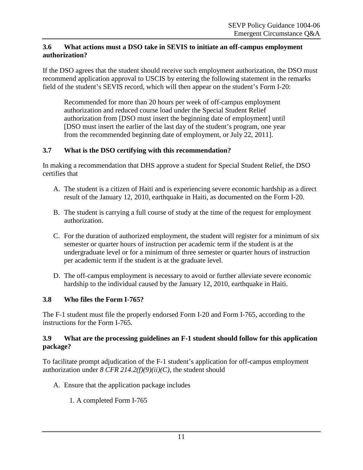#### <span id="page-10-0"></span>**3.6 What actions must a DSO take in SEVIS to initiate an off-campus employment authorization?**

If the DSO agrees that the student should receive such employment authorization, the DSO must recommend application approval to USCIS by entering the following statement in the remarks field of the student's SEVIS record, which will then appear on the student's Form I-20:

Recommended for more than 20 hours per week of off-campus employment authorization and reduced course load under the Special Student Relief authorization from [DSO must insert the beginning date of employment] until [DSO must insert the earlier of the last day of the student's program, one year from the recommended beginning date of employment, or July 22, 2011].

# <span id="page-10-1"></span>**3.7 What is the DSO certifying with this recommendation?**

In making a recommendation that DHS approve a student for Special Student Relief, the DSO certifies that

- A. The student is a citizen of Haiti and is experiencing severe economic hardship as a direct result of the January 12, 2010, earthquake in Haiti, as documented on the Form I-20.
- B. The student is carrying a full course of study at the time of the request for employment authorization.
- C. For the duration of authorized employment, the student will register for a minimum of six semester or quarter hours of instruction per academic term if the student is at the undergraduate level or for a minimum of three semester or quarter hours of instruction per academic term if the student is at the graduate level.
- <span id="page-10-2"></span>D. The off-campus employment is necessary to avoid or further alleviate severe economic hardship to the individual caused by the January 12, 2010, earthquake in Haiti.

# **3.8 Who files the Form I-765?**

The F-1 student must file the properly endorsed Form I-20 and Form I-765, according to the instructions for the Form I-765.

# <span id="page-10-3"></span>**3.9 What are the processing guidelines an F-1 student should follow for this application package?**

To facilitate prompt adjudication of the F-1 student's application for off-campus employment authorization under *8 CFR 214.2(f)(9)(ii)(C)*, the student should

- A. Ensure that the application package includes
	- 1. A completed Form I-765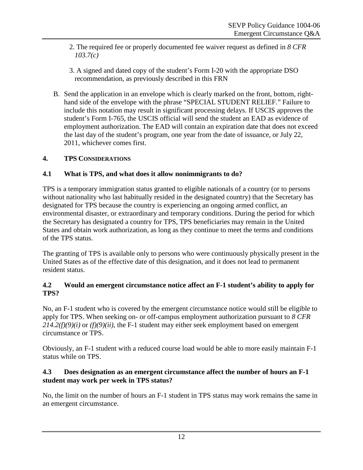- 2. The required fee or properly documented fee waiver request as defined in *8 CFR 103.7(c)*
- 3. A signed and dated copy of the student's Form I-20 with the appropriate DSO recommendation, as previously described in this FRN
- B. Send the application in an envelope which is clearly marked on the front, bottom, righthand side of the envelope with the phrase "SPECIAL STUDENT RELIEF." Failure to include this notation may result in significant processing delays. If USCIS approves the student's Form I-765, the USCIS official will send the student an EAD as evidence of employment authorization. The EAD will contain an expiration date that does not exceed the last day of the student's program, one year from the date of issuance, or July 22, 2011, whichever comes first.

# <span id="page-11-0"></span>**4. TPS CONSIDERATIONS**

## <span id="page-11-1"></span>**4.1 What is TPS, and what does it allow nonimmigrants to do?**

TPS is a temporary immigration status granted to eligible nationals of a country (or to persons without nationality who last habitually resided in the designated country) that the Secretary has designated for TPS because the country is experiencing an ongoing armed conflict, an environmental disaster, or extraordinary and temporary conditions. During the period for which the Secretary has designated a country for TPS, TPS beneficiaries may remain in the United States and obtain work authorization, as long as they continue to meet the terms and conditions of the TPS status.

The granting of TPS is available only to persons who were continuously physically present in the United States as of the effective date of this designation, and it does not lead to permanent resident status.

#### <span id="page-11-2"></span>**4.2 Would an emergent circumstance notice affect an F-1 student's ability to apply for TPS?**

No, an F-1 student who is covered by the emergent circumstance notice would still be eligible to apply for TPS. When seeking on- or off-campus employment authorization pursuant to *8 CFR 214.2(f)(9)(i)* or *(f)(9)(ii)*, the F-1 student may either seek employment based on emergent circumstance or TPS.

Obviously, an F-1 student with a reduced course load would be able to more easily maintain F-1 status while on TPS.

## <span id="page-11-3"></span>**4.3 Does designation as an emergent circumstance affect the number of hours an F-1 student may work per week in TPS status?**

No, the limit on the number of hours an F-1 student in TPS status may work remains the same in an emergent circumstance.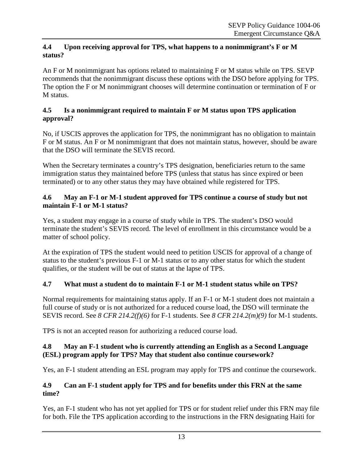## <span id="page-12-0"></span>**4.4 Upon receiving approval for TPS, what happens to a nonimmigrant's F or M status?**

An F or M nonimmigrant has options related to maintaining F or M status while on TPS. SEVP recommends that the nonimmigrant discuss these options with the DSO before applying for TPS. The option the F or M nonimmigrant chooses will determine continuation or termination of F or M status.

# <span id="page-12-1"></span>**4.5 Is a nonimmigrant required to maintain F or M status upon TPS application approval?**

No, if USCIS approves the application for TPS, the nonimmigrant has no obligation to maintain F or M status. An F or M nonimmigrant that does not maintain status, however, should be aware that the DSO will terminate the SEVIS record.

When the Secretary terminates a country's TPS designation, beneficiaries return to the same immigration status they maintained before TPS (unless that status has since expired or been terminated) or to any other status they may have obtained while registered for TPS.

## <span id="page-12-2"></span>**4.6 May an F-1 or M-1 student approved for TPS continue a course of study but not maintain F-1 or M-1 status?**

Yes, a student may engage in a course of study while in TPS. The student's DSO would terminate the student's SEVIS record. The level of enrollment in this circumstance would be a matter of school policy.

At the expiration of TPS the student would need to petition USCIS for approval of a change of status to the student's previous F-1 or M-1 status or to any other status for which the student qualifies, or the student will be out of status at the lapse of TPS.

# <span id="page-12-3"></span>**4.7 What must a student do to maintain F-1 or M-1 student status while on TPS?**

Normal requirements for maintaining status apply. If an F-1 or M-1 student does not maintain a full course of study or is not authorized for a reduced course load, the DSO will terminate the SEVIS record. See *8 CFR 214.2(f)(6)* for F-1 students. See *8 CFR 214.2(m)(9)* for M-1 students.

TPS is not an accepted reason for authorizing a reduced course load.

## <span id="page-12-4"></span>**4.8 May an F-1 student who is currently attending an English as a Second Language (ESL) program apply for TPS? May that student also continue coursework?**

Yes, an F-1 student attending an ESL program may apply for TPS and continue the coursework.

# <span id="page-12-5"></span>**4.9 Can an F-1 student apply for TPS and for benefits under this FRN at the same time?**

Yes, an F-1 student who has not yet applied for TPS or for student relief under this FRN may file for both. File the TPS application according to the instructions in the FRN designating Haiti for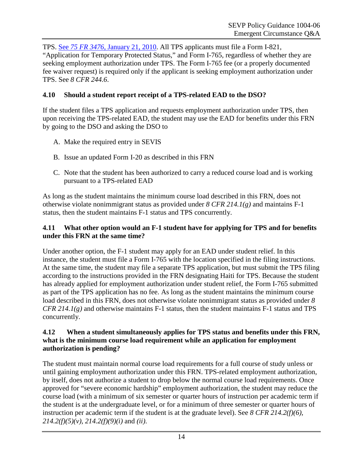TPS. See *75 FR 3476*[, January 21, 2010.](http://edocket.access.gpo.gov/2010/2010-1169.htm) All TPS applicants must file a Form I-821, "Application for Temporary Protected Status," and Form I-765, regardless of whether they are seeking employment authorization under TPS. The Form I-765 fee (or a properly documented fee waiver request) is required only if the applicant is seeking employment authorization under TPS. See *8 CFR 244.6*.

# <span id="page-13-0"></span>**4.10 Should a student report receipt of a TPS-related EAD to the DSO?**

If the student files a TPS application and requests employment authorization under TPS, then upon receiving the TPS-related EAD, the student may use the EAD for benefits under this FRN by going to the DSO and asking the DSO to

- A. Make the required entry in SEVIS
- B. Issue an updated Form I-20 as described in this FRN
- C. Note that the student has been authorized to carry a reduced course load and is working pursuant to a TPS-related EAD

As long as the student maintains the minimum course load described in this FRN, does not otherwise violate nonimmigrant status as provided under *8 CFR 214.1(g)* and maintains F-1 status, then the student maintains F-1 status and TPS concurrently.

# <span id="page-13-1"></span>**4.11 What other option would an F-1 student have for applying for TPS and for benefits under this FRN at the same time?**

Under another option, the F-1 student may apply for an EAD under student relief. In this instance, the student must file a Form I-765 with the location specified in the filing instructions. At the same time, the student may file a separate TPS application, but must submit the TPS filing according to the instructions provided in the FRN designating Haiti for TPS. Because the student has already applied for employment authorization under student relief, the Form I-765 submitted as part of the TPS application has no fee. As long as the student maintains the minimum course load described in this FRN, does not otherwise violate nonimmigrant status as provided under *8 CFR 214.1(g)* and otherwise maintains F-1 status, then the student maintains F-1 status and TPS concurrently.

## **4.12 When a student simultaneously applies for TPS status and benefits under this FRN, what is the minimum course load requirement while an application for employment authorization is pending?**

The student must maintain normal course load requirements for a full course of study unless or until gaining employment authorization under this FRN. TPS-related employment authorization, by itself, does not authorize a student to drop below the normal course load requirements. Once approved for "severe economic hardship" employment authorization, the student may reduce the course load (with a minimum of six semester or quarter hours of instruction per academic term if the student is at the undergraduate level, or for a minimum of three semester or quarter hours of instruction per academic term if the student is at the graduate level). See *8 CFR 214.2(f)(6), 214.2(f)(5)(v), 214.2(f)(9)(i)* and *(ii)*.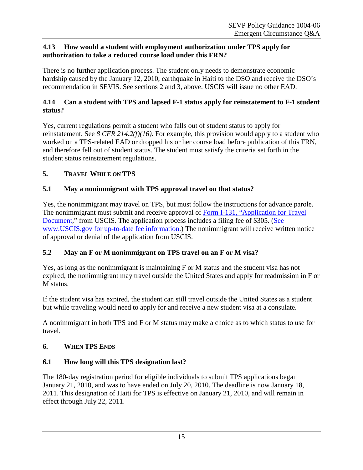#### <span id="page-14-0"></span>**4.13 How would a student with employment authorization under TPS apply for authorization to take a reduced course load under this FRN?**

There is no further application process. The student only needs to demonstrate economic hardship caused by the January 12, 2010, earthquake in Haiti to the DSO and receive the DSO's recommendation in SEVIS. See sections 2 and 3, above. USCIS will issue no other EAD.

### <span id="page-14-1"></span>**4.14 Can a student with TPS and lapsed F-1 status apply for reinstatement to F-1 student status?**

Yes, current regulations permit a student who falls out of student status to apply for reinstatement. See *8 CFR 214.2(f)(16)*. For example, this provision would apply to a student who worked on a TPS-related EAD or dropped his or her course load before publication of this FRN, and therefore fell out of student status. The student must satisfy the criteria set forth in the student status reinstatement regulations.

# <span id="page-14-2"></span>**5. TRAVEL WHILE ON TPS**

# <span id="page-14-3"></span>**5.1 May a nonimmigrant with TPS approval travel on that status?**

Yes, the nonimmigrant may travel on TPS, but must follow the instructions for advance parole. The nonimmigrant must submit and receive approval of Form I-131, ["Application for Travel](http://www.uscis.gov/portal/site/uscis/menuitem.5af9bb95919f35e66f614176543f6d1a/?vgnextoid=b11747a55773d010VgnVCM10000048f3d6a1RCRD)  [Document,](http://www.uscis.gov/portal/site/uscis/menuitem.5af9bb95919f35e66f614176543f6d1a/?vgnextoid=b11747a55773d010VgnVCM10000048f3d6a1RCRD)" from USCIS. The application process includes a filing fee of \$305. (See [www.USCIS.gov for up-to-date fee information.](http://www.uscis.gov/portal/site/uscis)) The nonimmigrant will receive written notice of approval or denial of the application from USCIS.

# <span id="page-14-4"></span>**5.2 May an F or M nonimmigrant on TPS travel on an F or M visa?**

Yes, as long as the nonimmigrant is maintaining F or M status and the student visa has not expired, the nonimmigrant may travel outside the United States and apply for readmission in F or M status.

If the student visa has expired, the student can still travel outside the United States as a student but while traveling would need to apply for and receive a new student visa at a consulate.

A nonimmigrant in both TPS and F or M status may make a choice as to which status to use for travel.

#### <span id="page-14-5"></span>**6. WHEN TPS ENDS**

#### <span id="page-14-6"></span>**6.1 How long will this TPS designation last?**

The 180-day registration period for eligible individuals to submit TPS applications began January 21, 2010, and was to have ended on July 20, 2010. The deadline is now January 18, 2011. This designation of Haiti for TPS is effective on January 21, 2010, and will remain in effect through July 22, 2011.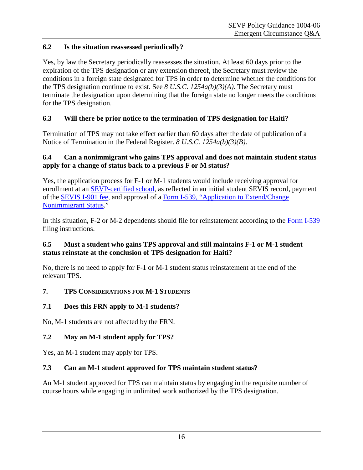# <span id="page-15-0"></span>**6.2 Is the situation reassessed periodically?**

Yes, by law the Secretary periodically reassesses the situation. At least 60 days prior to the expiration of the TPS designation or any extension thereof, the Secretary must review the conditions in a foreign state designated for TPS in order to determine whether the conditions for the TPS designation continue to exist. See *8 U.S.C. 1254a(b)(3)(A)*. The Secretary must terminate the designation upon determining that the foreign state no longer meets the conditions for the TPS designation.

# <span id="page-15-1"></span>**6.3 Will there be prior notice to the termination of TPS designation for Haiti?**

Termination of TPS may not take effect earlier than 60 days after the date of publication of a Notice of Termination in the Federal Register. *8 U.S.C. 1254a(b)(3)(B)*.

### <span id="page-15-2"></span>**6.4 Can a nonimmigrant who gains TPS approval and does not maintain student status apply for a change of status back to a previous F or M status?**

Yes, the application process for F-1 or M-1 students would include receiving approval for enrollment at an [SEVP-certified school,](http://www.ice.gov/sevis) as reflected in an initial student SEVIS record, payment of the [SEVIS I-901 fee,](http://www.ice.gov/sevis) and approval of a Form I-539, ["Application to Extend/Change](http://www.uscis.gov/portal/site/uscis/menuitem.5af9bb95919f35e66f614176543f6d1a/?vgnextoid=94d12c1a6855d010VgnVCM10000048f3d6a1RCRD&vgnextchannel=db029c7755cb9010VgnVCM10000045f3d6a1RCRD)  [Nonimmigrant Status.](http://www.uscis.gov/portal/site/uscis/menuitem.5af9bb95919f35e66f614176543f6d1a/?vgnextoid=94d12c1a6855d010VgnVCM10000048f3d6a1RCRD&vgnextchannel=db029c7755cb9010VgnVCM10000045f3d6a1RCRD)"

In this situation, F-2 or M-2 dependents should file for reinstatement according to the [Form I-539](http://www.uscis.gov/portal/site/uscis/menuitem.5af9bb95919f35e66f614176543f6d1a/?vgnextoid=94d12c1a6855d010VgnVCM10000048f3d6a1RCRD&vgnextchannel=db029c7755cb9010VgnVCM10000045f3d6a1RCRD) filing instructions.

#### <span id="page-15-3"></span>**6.5 Must a student who gains TPS approval and still maintains F-1 or M-1 student status reinstate at the conclusion of TPS designation for Haiti?**

No, there is no need to apply for F-1 or M-1 student status reinstatement at the end of the relevant TPS.

# <span id="page-15-4"></span>**7. TPS CONSIDERATIONS FOR M-1 STUDENTS**

# <span id="page-15-5"></span>**7.1 Does this FRN apply to M-1 students?**

No, M-1 students are not affected by the FRN.

# <span id="page-15-6"></span>**7.2 May an M-1 student apply for TPS?**

Yes, an M-1 student may apply for TPS.

# <span id="page-15-7"></span>**7.3 Can an M-1 student approved for TPS maintain student status?**

An M-1 student approved for TPS can maintain status by engaging in the requisite number of course hours while engaging in unlimited work authorized by the TPS designation.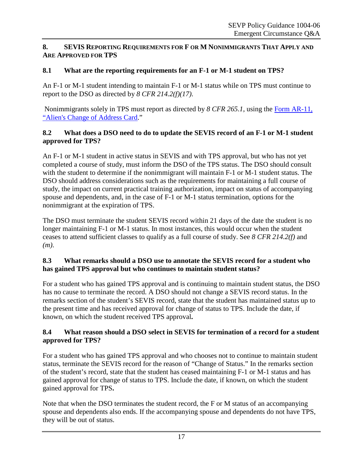### <span id="page-16-0"></span>**8. SEVIS REPORTING REQUIREMENTS FOR F OR M NONIMMIGRANTS THAT APPLY AND ARE APPROVED FOR TPS**

# <span id="page-16-1"></span>**8.1 What are the reporting requirements for an F-1 or M-1 student on TPS?**

An F-1 or M-1 student intending to maintain F-1 or M-1 status while on TPS must continue to report to the DSO as directed by *8 CFR 214.2(f)(17)*.

Nonimmigrants solely in TPS must report as directed by *8 CFR 265.1*, using the [Form AR-11,](http://www.uscis.gov/portal/site/uscis/menuitem.5af9bb95919f35e66f614176543f6d1a/?vgnextoid=c1a94154d7b3d010VgnVCM10000048f3d6a1RCRD&vgnextchannel=db029c7755cb9010VgnVCM10000045f3d6a1RCRD)  ["Alien's Change of Address Card.](http://www.uscis.gov/portal/site/uscis/menuitem.5af9bb95919f35e66f614176543f6d1a/?vgnextoid=c1a94154d7b3d010VgnVCM10000048f3d6a1RCRD&vgnextchannel=db029c7755cb9010VgnVCM10000045f3d6a1RCRD)"

#### <span id="page-16-2"></span>**8.2 What does a DSO need to do to update the SEVIS record of an F-1 or M-1 student approved for TPS?**

An F-1 or M-1 student in active status in SEVIS and with TPS approval, but who has not yet completed a course of study, must inform the DSO of the TPS status. The DSO should consult with the student to determine if the nonimmigrant will maintain  $F-1$  or M-1 student status. The DSO should address considerations such as the requirements for maintaining a full course of study, the impact on current practical training authorization, impact on status of accompanying spouse and dependents, and, in the case of F-1 or M-1 status termination, options for the nonimmigrant at the expiration of TPS.

The DSO must terminate the student SEVIS record within 21 days of the date the student is no longer maintaining F-1 or M-1 status. In most instances, this would occur when the student ceases to attend sufficient classes to qualify as a full course of study. See *8 CFR 214.2(f)* and *(m)*.

## <span id="page-16-3"></span>**8.3 What remarks should a DSO use to annotate the SEVIS record for a student who has gained TPS approval but who continues to maintain student status?**

For a student who has gained TPS approval and is continuing to maintain student status, the DSO has no cause to terminate the record. A DSO should not change a SEVIS record status. In the remarks section of the student's SEVIS record, state that the student has maintained status up to the present time and has received approval for change of status to TPS. Include the date, if known, on which the student received TPS approval**.**

## <span id="page-16-4"></span>**8.4 What reason should a DSO select in SEVIS for termination of a record for a student approved for TPS?**

For a student who has gained TPS approval and who chooses not to continue to maintain student status, terminate the SEVIS record for the reason of "Change of Status." In the remarks section of the student's record, state that the student has ceased maintaining F-1 or M-1 status and has gained approval for change of status to TPS. Include the date, if known, on which the student gained approval for TPS**.**

Note that when the DSO terminates the student record, the F or M status of an accompanying spouse and dependents also ends. If the accompanying spouse and dependents do not have TPS, they will be out of status.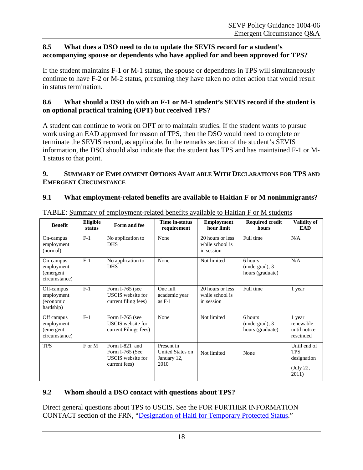#### <span id="page-17-0"></span>**8.5 What does a DSO need to do to update the SEVIS record for a student's accompanying spouse or dependents who have applied for and been approved for TPS?**

If the student maintains F-1 or M-1 status, the spouse or dependents in TPS will simultaneously continue to have F-2 or M-2 status, presuming they have taken no other action that would result in status termination.

#### <span id="page-17-1"></span>**8.6 What should a DSO do with an F-1 or M-1 student's SEVIS record if the student is on optional practical training (OPT) but received TPS?**

A student can continue to work on OPT or to maintain studies. If the student wants to pursue work using an EAD approved for reason of TPS, then the DSO would need to complete or terminate the SEVIS record, as applicable. In the remarks section of the student's SEVIS information, the DSO should also indicate that the student has TPS and has maintained F-1 or M-1 status to that point.

#### <span id="page-17-2"></span>**9. SUMMARY OF EMPLOYMENT OPTIONS AVAILABLE WITH DECLARATIONS FOR TPS AND EMERGENT CIRCUMSTANCE**

# <span id="page-17-3"></span>**9.1 What employment-related benefits are available to Haitian F or M nonimmigrants?**

| <b>Benefit</b>                                         | Eligible<br>status | Form and fee                                                                   | Time in-status<br>requirement                         | <b>Employment</b><br>hour limit                   | <b>Required credit</b><br>hours               | <b>Validity of</b><br><b>EAD</b>                                |
|--------------------------------------------------------|--------------------|--------------------------------------------------------------------------------|-------------------------------------------------------|---------------------------------------------------|-----------------------------------------------|-----------------------------------------------------------------|
| On-campus<br>employment<br>(normal)                    | $F-1$              | No application to<br><b>DHS</b>                                                | None                                                  | 20 hours or less<br>while school is<br>in session | Full time                                     | N/A                                                             |
| On-campus<br>employment<br>(emergent<br>circumstance)  | $F-1$              | No application to<br><b>DHS</b>                                                | None                                                  | Not limited                                       | 6 hours<br>(undergrad); 3<br>hours (graduate) | N/A                                                             |
| Off-campus<br>employment<br>(economic<br>hardship)     | $F-1$              | Form I-765 (see<br>USCIS website for<br>current filing fees)                   | One full<br>academic year<br>as $F-1$                 | 20 hours or less<br>while school is<br>in session | Full time                                     | 1 year                                                          |
| Off campus<br>employment<br>(emergent<br>circumstance) | $F-1$              | Form I-765 (see<br>USCIS website for<br>current Filings fees)                  | None                                                  | Not limited                                       | 6 hours<br>(undergrad); 3<br>hours (graduate) | 1 year<br>renewable<br>until notice<br>rescinded                |
| <b>TPS</b>                                             | F or M             | Form I-821 and<br>Form I-765 (See<br><b>USCIS</b> website for<br>current fees) | Present in<br>United States on<br>January 12,<br>2010 | Not limited                                       | None                                          | Until end of<br><b>TPS</b><br>designation<br>(July 22,<br>2011) |

<span id="page-17-4"></span>TABLE: **Summary of employment-related benefits available to Haitian F or M students** 

# <span id="page-17-5"></span>**9.2 Whom should a DSO contact with questions about TPS?**

Direct general questions about TPS to USCIS. See the FOR FURTHER INFORMATION CONTACT section of the FRN, ["Designation of Haiti for Temporary Protected Status.](http://edocket.access.gpo.gov/2010/2010-1169.htm)"